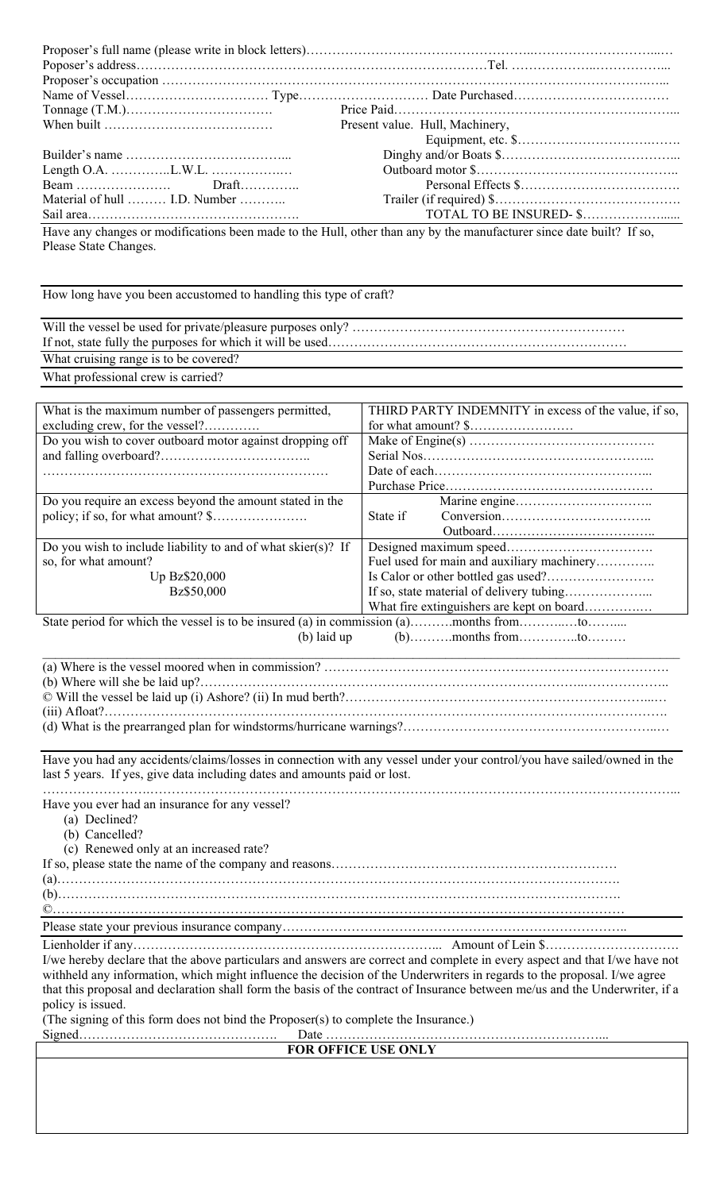|                                                                                                                                                                                                     | Present value. Hull, Machinery,                                                                                                                                                                                                                            |
|-----------------------------------------------------------------------------------------------------------------------------------------------------------------------------------------------------|------------------------------------------------------------------------------------------------------------------------------------------------------------------------------------------------------------------------------------------------------------|
|                                                                                                                                                                                                     |                                                                                                                                                                                                                                                            |
|                                                                                                                                                                                                     |                                                                                                                                                                                                                                                            |
| $Draft$                                                                                                                                                                                             |                                                                                                                                                                                                                                                            |
| Material of hull  I.D. Number                                                                                                                                                                       |                                                                                                                                                                                                                                                            |
|                                                                                                                                                                                                     |                                                                                                                                                                                                                                                            |
| Have any changes or modifications been made to the Hull, other than any by the manufacturer since date built? If so,<br>Please State Changes.                                                       |                                                                                                                                                                                                                                                            |
| How long have you been accustomed to handling this type of craft?                                                                                                                                   |                                                                                                                                                                                                                                                            |
|                                                                                                                                                                                                     |                                                                                                                                                                                                                                                            |
|                                                                                                                                                                                                     |                                                                                                                                                                                                                                                            |
| What cruising range is to be covered?                                                                                                                                                               |                                                                                                                                                                                                                                                            |
| What professional crew is carried?                                                                                                                                                                  |                                                                                                                                                                                                                                                            |
|                                                                                                                                                                                                     |                                                                                                                                                                                                                                                            |
| What is the maximum number of passengers permitted,                                                                                                                                                 | THIRD PARTY INDEMNITY in excess of the value, if so,                                                                                                                                                                                                       |
| excluding crew, for the vessel?                                                                                                                                                                     |                                                                                                                                                                                                                                                            |
| Do you wish to cover outboard motor against dropping off                                                                                                                                            |                                                                                                                                                                                                                                                            |
|                                                                                                                                                                                                     |                                                                                                                                                                                                                                                            |
|                                                                                                                                                                                                     |                                                                                                                                                                                                                                                            |
| Do you require an excess beyond the amount stated in the                                                                                                                                            |                                                                                                                                                                                                                                                            |
|                                                                                                                                                                                                     | State if                                                                                                                                                                                                                                                   |
|                                                                                                                                                                                                     |                                                                                                                                                                                                                                                            |
| Do you wish to include liability to and of what skier(s)? If<br>so, for what amount?                                                                                                                | Fuel used for main and auxiliary machinery                                                                                                                                                                                                                 |
| Up Bz\$20,000                                                                                                                                                                                       |                                                                                                                                                                                                                                                            |
| Bz\$50,000                                                                                                                                                                                          |                                                                                                                                                                                                                                                            |
|                                                                                                                                                                                                     | What fire extinguishers are kept on board                                                                                                                                                                                                                  |
| State period for which the vessel is to be insured (a) in commission (a)months fromto<br>$(b)$ laid up                                                                                              |                                                                                                                                                                                                                                                            |
|                                                                                                                                                                                                     |                                                                                                                                                                                                                                                            |
|                                                                                                                                                                                                     |                                                                                                                                                                                                                                                            |
|                                                                                                                                                                                                     |                                                                                                                                                                                                                                                            |
|                                                                                                                                                                                                     |                                                                                                                                                                                                                                                            |
| Have you had any accidents/claims/losses in connection with any vessel under your control/you have sailed/owned in the<br>last 5 years. If yes, give data including dates and amounts paid or lost. |                                                                                                                                                                                                                                                            |
|                                                                                                                                                                                                     |                                                                                                                                                                                                                                                            |
| Have you ever had an insurance for any vessel?<br>(a) Declined?<br>(b) Cancelled?                                                                                                                   |                                                                                                                                                                                                                                                            |
| (c) Renewed only at an increased rate?                                                                                                                                                              |                                                                                                                                                                                                                                                            |
|                                                                                                                                                                                                     |                                                                                                                                                                                                                                                            |
|                                                                                                                                                                                                     |                                                                                                                                                                                                                                                            |
|                                                                                                                                                                                                     |                                                                                                                                                                                                                                                            |
|                                                                                                                                                                                                     |                                                                                                                                                                                                                                                            |
|                                                                                                                                                                                                     |                                                                                                                                                                                                                                                            |
| withheld any information, which might influence the decision of the Underwriters in regards to the proposal. I/we agree                                                                             | I/we hereby declare that the above particulars and answers are correct and complete in every aspect and that I/we have not<br>that this proposal and declaration shall form the basis of the contract of Insurance between me/us and the Underwriter, if a |
| policy is issued.<br>(The signing of this form does not bind the Proposer(s) to complete the Insurance.)                                                                                            |                                                                                                                                                                                                                                                            |
| <b>FOR OFFICE USE ONLY</b>                                                                                                                                                                          |                                                                                                                                                                                                                                                            |
|                                                                                                                                                                                                     |                                                                                                                                                                                                                                                            |
|                                                                                                                                                                                                     |                                                                                                                                                                                                                                                            |